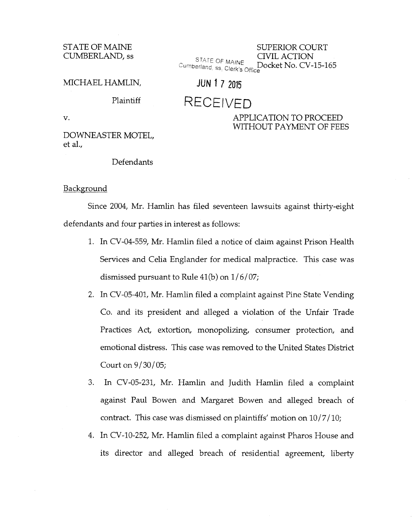STATE OF MAINE CUMBERLAND, ss

SUPERIOR COURT ST f. TE 0 CIVIL ACTION .~ ,..., F MAINE Cumberland, ss. Clerk's Office

MICHAEL HAMLIN, **JUN 1 7 2015** 

## Plaintiff RECEIVED

DOWNEASTER MOTEL, et al.,

## v. APPLICATION TO PROCEED

WITHOUT PAYMENT OF FEES

Defendants

## Background

Since 2004, Mr. Hamlin has filed seventeen lawsuits against thirty-eight defendants and four parties in interest as follows:

- 1. In CV-04-559, Mr. Hamlin filed a notice of claim against Prison Health Services and Celia Englander for medical malpractice. This case was dismissed pursuant to Rule 41(b) on *11 6107;*
- 2. In CV -05-401, Mr. Hamlin filed a complaint against Pine State Vending Co. and its president and alleged a violation of the Unfair Trade Practices Act, extortion, monopolizing, consumer protection, and emotional distress. This case was removed to the United States District Court on  $9/30/05$ ;
- 3. In CV -05-231, Mr. Hamlin and Judith Hamlin filed a complaint against Paul Bowen and Margaret Bowen and alleged breach of contract. This case was dismissed on plaintiffs' motion on  $10/7/10$ ;
- 4. In CV-10-252, Mr. Hamlin filed a complaint against Pharos House and its director and alleged breach of residential agreement, liberty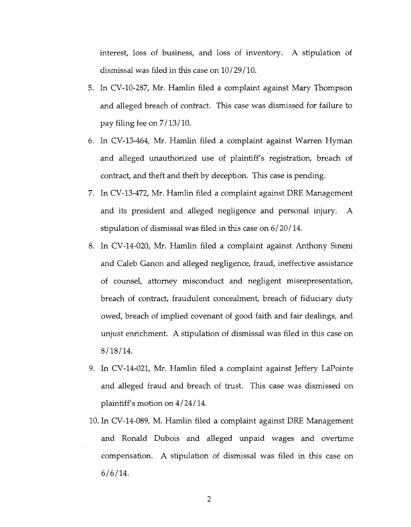interest, loss of business, and loss of inventory. A stipulation of dismissal was filed in this case on  $10/29/10$ .

- 5. In CV-10-287, Mr. Hamlin filed a complaint against Mary Thompson and alleged breach of contract. This case was dismissed for failure to pay filing fee on *7113110.*
- 6. In CV-13-464, Mr. Hamlin filed a complaint against Warren Hyman and alleged unauthorized use of plaintiff's registration, breach of contract, and theft and theft by deception. This case is pending.
- 7. In CV-13-472, Mr. Hamlin filed a complaint against DRE Management and its president and alleged negligence and personal injury. A stipulation of dismissal was filed in this case on *6120114.*
- 8. In CV-14-020, Mr. Hamlin filed a complaint against Anthony Sineni and Caleb Ganon and alleged negligence, fraud, ineffective assistance of counsel, attorney misconduct and negligent misrepresentation, breach of contract, fraudulent concealment, breach of fiduciary duty owed, breach of implied covenant of good faith and fair dealings, and unjust enrichment. A stipulation of dismissal was filed in this case on  $8/18/14$ .
- 9. In CV-14-021, Mr. Hamlin filed a complaint against Jeffery LaPointe and alleged fraud and breach of trust. This case was dismissed on plaintiff's motion on *4124114.*
- 10. In CV-14-089, M. Hamlin filed a complaint against DRE Management and Ronald Dubois and alleged unpaid wages and overtime compensation. A stipulation of dismissal was filed in this case on *6/6114.*

2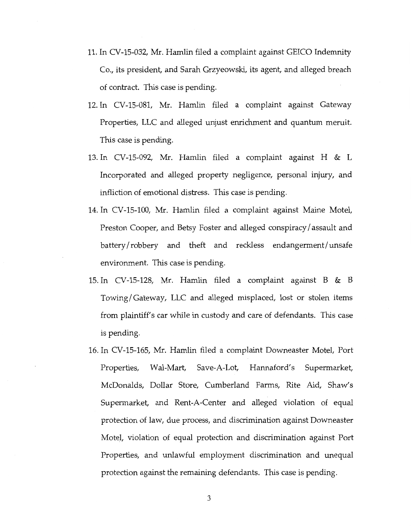- 11. In CV-15-032, Mr. Hamlin filed a complaint against GEICO Indemnity Co., its president, and Sarah Grzyeowski, its agent, and alleged breach of contract. This case is pending.
- 12. In CV-15-081, Mr. Hamlin filed a complaint against Gateway Properties, LLC and alleged unjust enrichment and quantum meruit. This case is pending.
- 13. In CV-15-092, Mr. Hamlin filed a complaint against H & L Incorporated and alleged property negligence, personal injury, and infliction of emotional distress. This case is pending.
- 14. In CV-15-100, Mr. Hamlin filed a complaint against Maine Motel, Preston Cooper, and Betsy Foster and alleged conspiracy/assault and battery/robbery and theft and reckless endangerment/unsafe environment. This case is pending.
- 15. In CV-15-128, Mr. Hamlin filed a complaint against B & B Towing/ Gateway, LLC and alleged misplaced, lost or stolen items from plaintiff's car while in custody and care of defendants. This case is pending.
- 16. In CV-15-165, Mr. Hamlin filed a complaint Downeaster Motel, Port Properties, Wal-Mart, Save-A-Lot, Hannaford's Supermarket, McDonalds, Dollar Store, Cumberland Farms, Rite Aid, Shaw's Supermarket, and Rent-A-Center and alleged violation of equal protection of law, due process, and discrimination against Downeaster Motel, violation of equal protection and discrimination against Port Properties, and unlawful employment discrimination and unequal protection against the remaining defendants. This case is pending.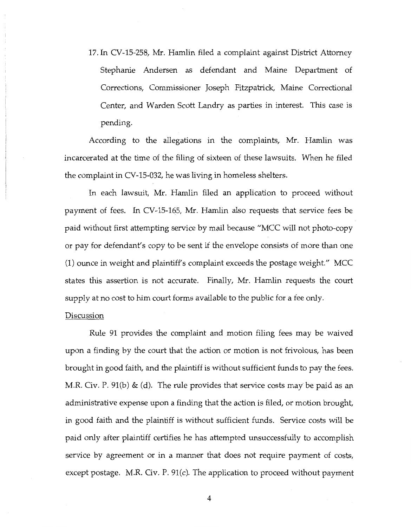17. In CV-15-258, Mr. Hamlin filed a complaint against District Attorney Stephanie Andersen as defendant and Maine Department of Corrections, Commissioner Joseph Fitzpatrick, Maine Correctional Center, and Warden Scott Landry as parties in interest. This case is pending.

According to the allegations in the complaints, Mr. Hamlin was incarcerated at the time of the filing of sixteen of these lawsuits. When he filed the complaint in CV-15-032, he was living in homeless shelters.

In each lawsuit, Mr. Hamlin filed an application to proceed without payment of fees. In CV-15-165, Mr. Hamlin also requests that service fees be paid without first attempting service by mail because "MCC will not photo-copy or pay for defendant's copy to be sent if the envelope consists of more than one (1) ounce in weight and plaintiff's complaint exceeds the postage weight." MCC states this assertion is not accurate. Finally, Mr. Hamlin requests the court supply at no cost to him court forms available to the public for a fee only.

## Discussion

Rule 91 provides the complaint and motion filing fees may be waived upon a finding by the court that the action or motion is not frivolous, has been brought in good faith, and the plaintiff is without sufficient funds to pay the fees. M.R. Civ. P.  $91(b)$  & (d). The rule provides that service costs may be paid as an administrative expense upon a finding that the action is filed, or motion brought, in good faith and the plaintiff is without sufficient funds. Service costs will be paid only after plaintiff certifies he has attempted unsuccessfully to accomplish service by agreement or in a manner that does not require payment of costs, except postage. M.R. Civ. P. 91(c). The application to proceed without payment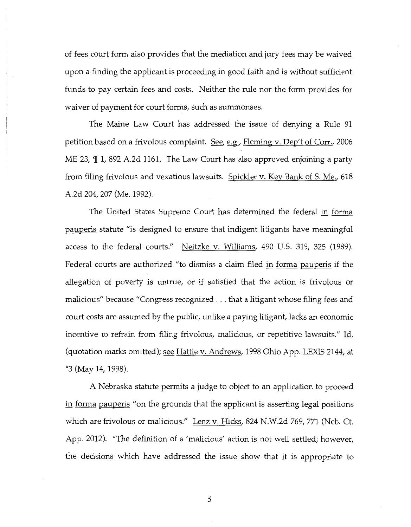of fees court form also provides that the mediation and jury fees may be waived upon a finding the applicant is proceeding in good faith and is without sufficient funds to pay certain fees and costs. Neither the rule nor the form provides for waiver of payment for court forms, such as summonses.

The Maine Law Court has addressed the issue of denying a Rule 91 petition based on a frivolous complaint. See, e.g., Fleming v. Dep't of Corr., 2006 ME 23,  $\P$  1, 892 A.2d 1161. The Law Court has also approved enjoining a party from filing frivolous and vexatious lawsuits. Spickler v. Key Bank of S. Me., 618 A.2d 204, 207 (Me. 1992).

The United States Supreme Court has determined the federal in forma pauperis statute "is designed to ensure that indigent litigants have meaningful access to the federal courts." Neitzke v. Williams, 490 U.S. 319, 325 (1989). Federal courts are authorized "to dismiss a claim filed in forma pauperis if the allegation of poverty is untrue, or if satisfied that the action is frivolous or malicious" because "Congress recognized ... that a litigant whose filing fees and court costs are assumed by the public, unlike a paying litigant, lacks an economic incentive to refrain from filing frivolous, malicious, or repetitive lawsuits." Id. (quotation marks omitted); see Hattie v. Andrews, 1998 Ohio App. LEXIS 2144, at \*3 (May 14, 1998).

A Nebraska statute permits a judge to object to an application to proceed in forma pauperis "on the grounds that the applicant is asserting legal positions which are frivolous or malicious." Lenz v. Hicks, 824 N.W.2d 769, 771 (Neb. Ct. App. 2012). "The definition of a 'malicious' action is not well settled; however, the decisions which have addressed the issue show that it is appropriate to

5